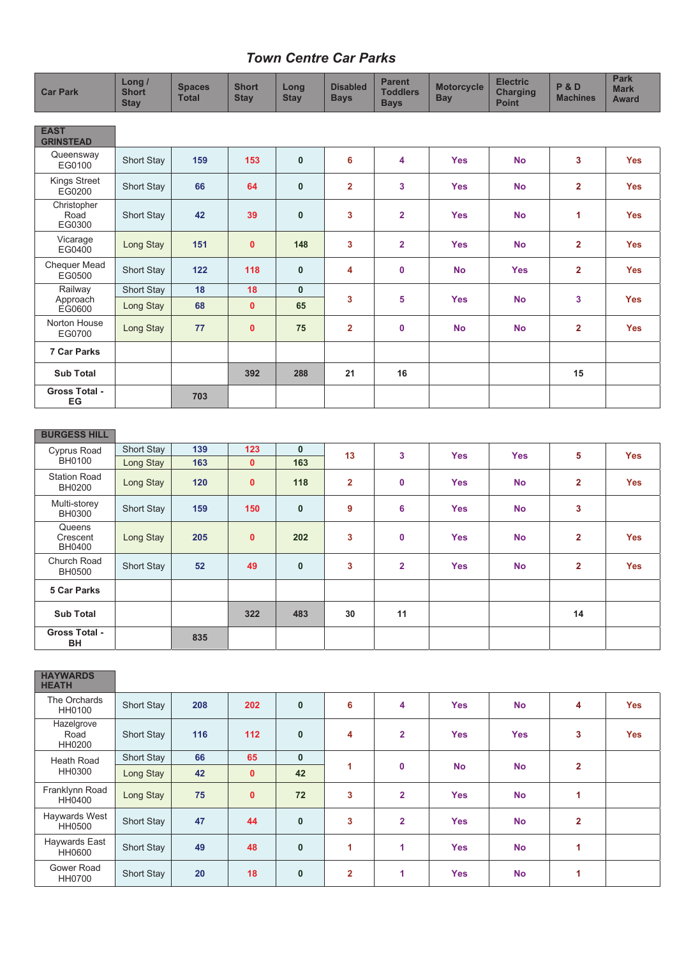## *Town Centre Car Parks*

| <b>Car Park</b>                 | Long /<br><b>Short</b><br><b>Stay</b> | <b>Spaces</b><br><b>Total</b> | <b>Short</b><br><b>Stay</b> | Long<br><b>Stay</b> | <b>Disabled</b><br><b>Bays</b> | <b>Parent</b><br><b>Toddlers</b><br><b>Bays</b> | <b>Motorcycle</b><br><b>Bay</b> | <b>Electric</b><br><b>Charging</b><br><b>Point</b> | <b>P&amp;D</b><br><b>Machines</b> | <b>Park</b><br><b>Mark</b><br><b>Award</b> |
|---------------------------------|---------------------------------------|-------------------------------|-----------------------------|---------------------|--------------------------------|-------------------------------------------------|---------------------------------|----------------------------------------------------|-----------------------------------|--------------------------------------------|
|                                 |                                       |                               |                             |                     |                                |                                                 |                                 |                                                    |                                   |                                            |
| <b>EAST</b><br><b>GRINSTEAD</b> |                                       |                               |                             |                     |                                |                                                 |                                 |                                                    |                                   |                                            |
| Queensway<br>EG0100             | <b>Short Stay</b>                     | 159                           | 153                         | $\mathbf{0}$        | 6                              | 4                                               | <b>Yes</b>                      | <b>No</b>                                          | 3                                 | <b>Yes</b>                                 |
| <b>Kings Street</b><br>EG0200   | <b>Short Stay</b>                     | 66                            | 64                          | $\mathbf{0}$        | $\overline{2}$                 | 3                                               | <b>Yes</b>                      | <b>No</b>                                          | $\overline{2}$                    | <b>Yes</b>                                 |
| Christopher<br>Road<br>EG0300   | Short Stay                            | 42                            | 39                          | $\mathbf{0}$        | 3                              | $\overline{2}$                                  | <b>Yes</b>                      | <b>No</b>                                          | 1                                 | <b>Yes</b>                                 |
| Vicarage<br>EG0400              | Long Stay                             | 151                           | $\mathbf{0}$                | 148                 | 3                              | $\overline{2}$                                  | <b>Yes</b>                      | <b>No</b>                                          | $\overline{2}$                    | <b>Yes</b>                                 |
| Chequer Mead<br>EG0500          | Short Stay                            | 122                           | 118                         | $\mathbf{0}$        | 4                              | $\mathbf 0$                                     | <b>No</b>                       | <b>Yes</b>                                         | $\overline{2}$                    | <b>Yes</b>                                 |
| Railway                         | Short Stay                            | 18                            | 18                          | $\mathbf{0}$        |                                |                                                 |                                 |                                                    |                                   |                                            |
| Approach<br><b>EG0600</b>       | Long Stay                             | 68                            | $\mathbf 0$                 | 65                  | 3                              | 5                                               | <b>Yes</b>                      | <b>No</b>                                          | 3                                 | <b>Yes</b>                                 |
| Norton House<br>EG0700          | Long Stay                             | 77                            | $\mathbf 0$                 | 75                  | $\overline{2}$                 | $\mathbf 0$                                     | <b>No</b>                       | <b>No</b>                                          | $\overline{2}$                    | <b>Yes</b>                                 |
| <b>7 Car Parks</b>              |                                       |                               |                             |                     |                                |                                                 |                                 |                                                    |                                   |                                            |
| <b>Sub Total</b>                |                                       |                               | 392                         | 288                 | 21                             | 16                                              |                                 |                                                    | 15                                |                                            |
| <b>Gross Total -</b><br>EG      |                                       | 703                           |                             |                     |                                |                                                 |                                 |                                                    |                                   |                                            |
|                                 |                                       |                               |                             |                     |                                |                                                 |                                 |                                                    |                                   |                                            |
| <b>BURGESS HILL</b>             |                                       |                               |                             |                     |                                |                                                 |                                 |                                                    |                                   |                                            |
| Cyprus Road                     | Short Stay                            | 139                           | 123                         | $\mathbf{0}$        | 13                             | 3                                               | <b>Yes</b>                      | <b>Yes</b>                                         | 5                                 | <b>Yes</b>                                 |
| <b>BH0100</b>                   | Long Stay                             | 163                           | $\mathbf 0$                 | 163                 |                                |                                                 |                                 |                                                    |                                   |                                            |
| <b>Station Road</b><br>BH0200   | Long Stay                             | 120                           | $\mathbf 0$                 | 118                 | $\mathbf{2}$                   | $\mathbf 0$                                     | <b>Yes</b>                      | <b>No</b>                                          | $\mathbf{2}$                      | <b>Yes</b>                                 |
| Multi-storey<br><b>BH0300</b>   | <b>Short Stay</b>                     | 159                           | 150                         | $\mathbf 0$         | 9                              | 6                                               | <b>Yes</b>                      | <b>No</b>                                          | 3                                 |                                            |
| Queens<br>Crescent<br>BH0400    | Long Stay                             | 205                           | $\mathbf{0}$                | 202                 | 3                              | $\mathbf 0$                                     | <b>Yes</b>                      | <b>No</b>                                          | $\overline{2}$                    | <b>Yes</b>                                 |
| Church Road<br><b>BH0500</b>    | <b>Short Stay</b>                     | 52                            | 49                          | $\mathbf{0}$        | 3                              | $\overline{2}$                                  | <b>Yes</b>                      | <b>No</b>                                          | $\overline{2}$                    | <b>Yes</b>                                 |
| 5 Car Parks                     |                                       |                               |                             |                     |                                |                                                 |                                 |                                                    |                                   |                                            |
| <b>Sub Total</b>                |                                       |                               | 322                         | 483                 | $30\,$                         | 11                                              |                                 |                                                    | 14                                |                                            |
| <b>Gross Total -</b><br>BH      |                                       | 835                           |                             |                     |                                |                                                 |                                 |                                                    |                                   |                                            |
|                                 |                                       |                               |                             |                     |                                |                                                 |                                 |                                                    |                                   |                                            |
| <b>HAYWARDS</b><br><b>HEATH</b> |                                       |                               |                             |                     |                                |                                                 |                                 |                                                    |                                   |                                            |

| .                            |                   |     |              |              |                |                |            |            |                |            |
|------------------------------|-------------------|-----|--------------|--------------|----------------|----------------|------------|------------|----------------|------------|
| The Orchards<br>HH0100       | <b>Short Stay</b> | 208 | 202          | $\mathbf{0}$ | 6              | 4              | <b>Yes</b> | <b>No</b>  | 4              | <b>Yes</b> |
| Hazelgrove<br>Road<br>HH0200 | <b>Short Stay</b> | 116 | 112          | $\mathbf{0}$ | 4              | $\overline{2}$ | <b>Yes</b> | <b>Yes</b> | 3              | <b>Yes</b> |
| Heath Road                   | Short Stay        | 66  | 65           | $\mathbf{0}$ |                |                |            | <b>No</b>  | $\overline{2}$ |            |
| HH0300                       | Long Stay         | 42  | $\mathbf{0}$ | 42           | 1<br>0         |                | <b>No</b>  |            |                |            |
| Franklynn Road<br>HH0400     | Long Stay         | 75  | $\mathbf{0}$ | 72           | 3              | $\overline{2}$ | <b>Yes</b> | <b>No</b>  | 1              |            |
| Haywards West<br>HH0500      | Short Stay        | 47  | 44           | $\mathbf{0}$ | 3              | $\overline{2}$ | <b>Yes</b> | <b>No</b>  | $\overline{2}$ |            |
| Haywards East<br>HH0600      | <b>Short Stay</b> | 49  | 48           | $\mathbf 0$  | 1              | 1              | <b>Yes</b> | <b>No</b>  | 1              |            |
| Gower Road<br><b>HH0700</b>  | <b>Short Stay</b> | 20  | 18           | $\mathbf{0}$ | $\overline{2}$ | 1              | <b>Yes</b> | <b>No</b>  |                |            |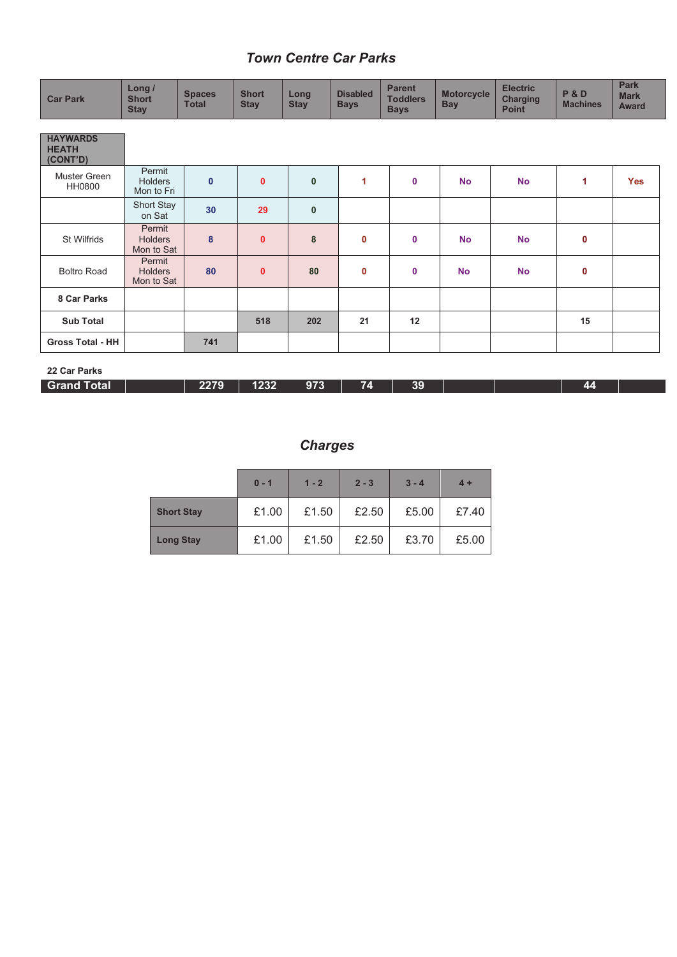## *Town Centre Car Parks*

| <b>Car Park</b>                             | Long /<br><b>Short</b><br><b>Stay</b>  | <b>Spaces</b><br><b>Total</b> | <b>Short</b><br><b>Stay</b> | Long<br><b>Stay</b> | <b>Disabled</b><br><b>Bays</b> | <b>Parent</b><br><b>Toddlers</b><br><b>Bays</b> | <b>Motorcycle</b><br><b>Bay</b> | <b>Electric</b><br><b>Charging</b><br><b>Point</b> | <b>P&amp;D</b><br><b>Machines</b> | <b>Park</b><br><b>Mark</b><br><b>Award</b> |
|---------------------------------------------|----------------------------------------|-------------------------------|-----------------------------|---------------------|--------------------------------|-------------------------------------------------|---------------------------------|----------------------------------------------------|-----------------------------------|--------------------------------------------|
| <b>HAYWARDS</b><br><b>HEATH</b><br>(CONT'D) |                                        |                               |                             |                     |                                |                                                 |                                 |                                                    |                                   |                                            |
| Muster Green<br>HH0800                      | Permit<br><b>Holders</b><br>Mon to Fri | $\mathbf 0$                   | $\mathbf{0}$                | $\mathbf{0}$        | 1                              | $\mathbf 0$                                     | <b>No</b>                       | <b>No</b>                                          | 1                                 | <b>Yes</b>                                 |
|                                             | Short Stay<br>on Sat                   | 30                            | 29                          | $\mathbf{0}$        |                                |                                                 |                                 |                                                    |                                   |                                            |
| St Wilfrids                                 | Permit<br><b>Holders</b><br>Mon to Sat | 8                             | $\mathbf{0}$                | 8                   | $\mathbf 0$                    | $\mathbf 0$                                     | <b>No</b>                       | <b>No</b>                                          | $\mathbf 0$                       |                                            |
| <b>Boltro Road</b>                          | Permit<br><b>Holders</b><br>Mon to Sat | 80                            | $\mathbf{0}$                | 80                  | $\mathbf 0$                    | $\mathbf 0$                                     | <b>No</b>                       | <b>No</b>                                          | $\mathbf 0$                       |                                            |
| 8 Car Parks                                 |                                        |                               |                             |                     |                                |                                                 |                                 |                                                    |                                   |                                            |
| <b>Sub Total</b>                            |                                        |                               | 518                         | 202                 | 21                             | 12                                              |                                 |                                                    | 15                                |                                            |
| <b>Gross Total - HH</b>                     |                                        | 741                           |                             |                     |                                |                                                 |                                 |                                                    |                                   |                                            |
| 22 Car Parks                                |                                        |                               |                             |                     |                                |                                                 |                                 |                                                    |                                   |                                            |

| <b>Grand Total</b> | 2279 | 1232 | 973 | œ | 39 |  | ли |  |
|--------------------|------|------|-----|---|----|--|----|--|
|                    |      |      |     |   |    |  |    |  |

## *Charges*

|                   | $0 - 1$ | $1 - 2$ | $2 - 3$ | $3 - 4$ | $4 +$ |
|-------------------|---------|---------|---------|---------|-------|
| <b>Short Stay</b> | £1.00   | £1.50   | £2.50   | £5.00   | £7.40 |
| <b>Long Stay</b>  | £1.00   | £1.50   | £2.50   | £3.70   | £5.00 |